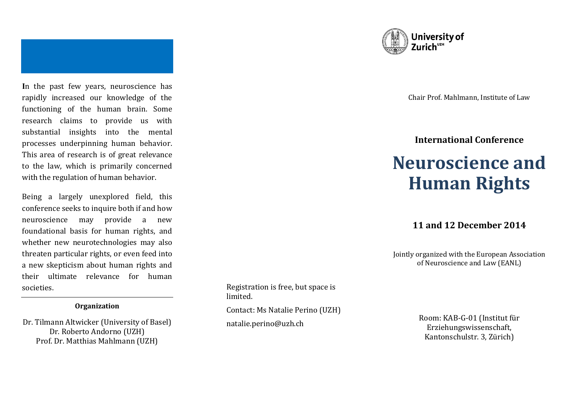**I**n the past few years, neuroscience has rapidly increased our knowledge of the functioning of the human brain. Some research claims to provide us with substantial insights into the mental processes underpinning human behavior. This area of research is of great relevance to the law, which is primarily concerned with the regulation of human behavior.

Being a largely unexplored field, this conference seeks to inquire both if and how neuroscience may provide a new foundational basis for human rights, and whether new neurotechnologies may also threaten particular rights, or even feed into a new skepticism about human rights and their ultimate relevance for human societies.

#### **Organization**

Dr. Tilmann Altwicker (University of Basel) Dr. Roberto Andorno (UZH) Prof. Dr. Matthias Mahlmann (UZH)





Chair Prof. Mahlmann, Institute of Law

# **International Conference**

# **Neuroscience and Human Rights**

# **11 and 12 December 2014**

Jointly organized with the European Association of Neuroscience and Law (EANL)

> Room: KAB-G-01 (Institut für Erziehungswissenschaft, Kantonschulstr. 3, Zürich)